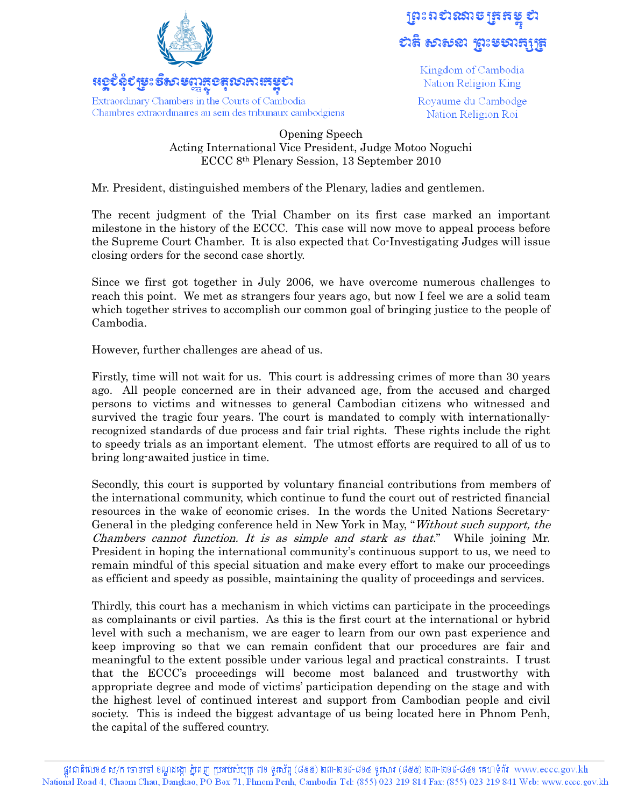

Chambres extraordinaires au sein des tribunaux cambodgiens

ព្រះពស់សាម ត្រួតម្នូ ស ธาลิ ธาธรา ชาะธราธุรุช

> Kingdom of Cambodia Nation Religion King

Royaume du Cambodge Nation Religion Roi

## Opening Speech Acting International Vice President, Judge Motoo Noguchi ECCC 8th Plenary Session, 13 September 2010

Mr. President, distinguished members of the Plenary, ladies and gentlemen.

The recent judgment of the Trial Chamber on its first case marked an important milestone in the history of the ECCC. This case will now move to appeal process before the Supreme Court Chamber. It is also expected that Co-Investigating Judges will issue closing orders for the second case shortly.

Since we first got together in July 2006, we have overcome numerous challenges to reach this point. We met as strangers four years ago, but now I feel we are a solid team which together strives to accomplish our common goal of bringing justice to the people of Cambodia.

However, further challenges are ahead of us.

Firstly, time will not wait for us. This court is addressing crimes of more than 30 years ago. All people concerned are in their advanced age, from the accused and charged persons to victims and witnesses to general Cambodian citizens who witnessed and survived the tragic four years. The court is mandated to comply with internationallyrecognized standards of due process and fair trial rights. These rights include the right to speedy trials as an important element. The utmost efforts are required to all of us to bring long-awaited justice in time.

Secondly, this court is supported by voluntary financial contributions from members of the international community, which continue to fund the court out of restricted financial resources in the wake of economic crises. In the words the United Nations Secretary-General in the pledging conference held in New York in May, "Without such support, the Chambers cannot function. It is as simple and stark as that." While joining Mr. President in hoping the international community's continuous support to us, we need to remain mindful of this special situation and make every effort to make our proceedings as efficient and speedy as possible, maintaining the quality of proceedings and services.

Thirdly, this court has a mechanism in which victims can participate in the proceedings as complainants or civil parties. As this is the first court at the international or hybrid level with such a mechanism, we are eager to learn from our own past experience and keep improving so that we can remain confident that our procedures are fair and meaningful to the extent possible under various legal and practical constraints. I trust that the ECCC's proceedings will become most balanced and trustworthy with appropriate degree and mode of victims' participation depending on the stage and with the highest level of continued interest and support from Cambodian people and civil society. This is indeed the biggest advantage of us being located here in Phnom Penh, the capital of the suffered country.